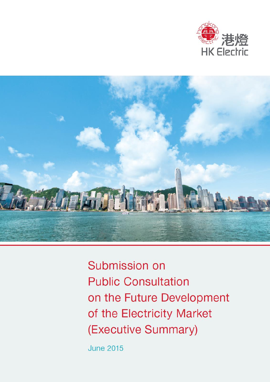



Submission on **Public Consultation** on the Future Development of the Electricity Market (Executive Summary)

**June 2015**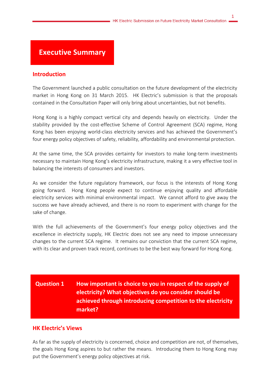1

# **Executive Summary**

#### **Introduction**

The Government launched a public consultation on the future development of the electricity market in Hong Kong on 31 March 2015. HK Electric's submission is that the proposals contained in the Consultation Paper will only bring about uncertainties, but not benefits.

Hong Kong is a highly compact vertical city and depends heavily on electricity. Under the stability provided by the cost-effective Scheme of Control Agreement (SCA) regime, Hong Kong has been enjoying world-class electricity services and has achieved the Government's four energy policy objectives of safety, reliability, affordability and environmental protection.

At the same time, the SCA provides certainty for investors to make long-term investments necessary to maintain Hong Kong's electricity infrastructure, making it a very effective tool in balancing the interests of consumers and investors.

As we consider the future regulatory framework, our focus is the interests of Hong Kong going forward. Hong Kong people expect to continue enjoying quality and affordable electricity services with minimal environmental impact. We cannot afford to give away the success we have already achieved, and there is no room to experiment with change for the sake of change.

With the full achievements of the Government's four energy policy objectives and the excellence in electricity supply, HK Electric does not see any need to impose unnecessary changes to the current SCA regime. It remains our conviction that the current SCA regime, with its clear and proven track record, continues to be the best way forward for Hong Kong.

# **Question 1 How important is choice to you in respect of the supply of electricity? What objectives do you consider should be achieved through introducing competition to the electricity market?**

### **HK Electric's Views**

As far as the supply of electricity is concerned, choice and competition are not, of themselves, the goals Hong Kong aspires to but rather the means. Introducing them to Hong Kong may put the Government's energy policy objectives at risk.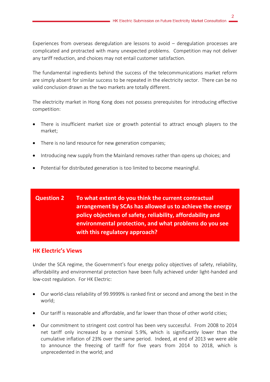Experiences from overseas deregulation are lessons to avoid – deregulation processes are complicated and protracted with many unexpected problems. Competition may not deliver any tariff reduction, and choices may not entail customer satisfaction.

The fundamental ingredients behind the success of the telecommunications market reform are simply absent for similar success to be repeated in the electricity sector. There can be no valid conclusion drawn as the two markets are totally different.

The electricity market in Hong Kong does not possess prerequisites for introducing effective competition:

- There is insufficient market size or growth potential to attract enough players to the market;
- There is no land resource for new generation companies;
- Introducing new supply from the Mainland removes rather than opens up choices; and
- Potential for distributed generation is too limited to become meaningful.

# **Question 2 To what extent do you think the current contractual arrangement by SCAs has allowed us to achieve the energy policy objectives of safety, reliability, affordability and environmental protection, and what problems do you see with this regulatory approach?**

### **HK Electric's Views**

Under the SCA regime, the Government's four energy policy objectives of safety, reliability, affordability and environmental protection have been fully achieved under light-handed and low-cost regulation. For HK Electric:

- Our world-class reliability of 99.9999% is ranked first or second and among the best in the world;
- Our tariff is reasonable and affordable, and far lower than those of other world cities;
- Our commitment to stringent cost control has been very successful. From 2008 to 2014 net tariff only increased by a nominal 5.9%, which is significantly lower than the cumulative inflation of 23% over the same period. Indeed, at end of 2013 we were able to announce the freezing of tariff for five years from 2014 to 2018, which is unprecedented in the world; and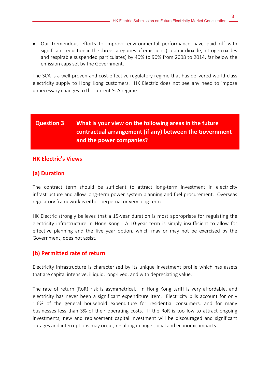Our tremendous efforts to improve environmental performance have paid off with significant reduction in the three categories of emissions (sulphur dioxide, nitrogen oxides and respirable suspended particulates) by 40% to 90% from 2008 to 2014, far below the emission caps set by the Government.

The SCA is a well-proven and cost-effective regulatory regime that has delivered world-class electricity supply to Hong Kong customers. HK Electric does not see any need to impose unnecessary changes to the current SCA regime.

# **Question 3 What is your view on the following areas in the future contractual arrangement (if any) between the Government and the power companies?**

### **HK Electric's Views**

### **(a) Duration**

The contract term should be sufficient to attract long-term investment in electricity infrastructure and allow long-term power system planning and fuel procurement. Overseas regulatory framework is either perpetual or very long term.

HK Electric strongly believes that a 15-year duration is most appropriate for regulating the electricity infrastructure in Hong Kong. A 10-year term is simply insufficient to allow for effective planning and the five year option, which may or may not be exercised by the Government, does not assist.

### **(b) Permitted rate of return**

Electricity infrastructure is characterized by its unique investment profile which has assets that are capital intensive, illiquid, long-lived, and with depreciating value.

The rate of return (RoR) risk is asymmetrical. In Hong Kong tariff is very affordable, and electricity has never been a significant expenditure item. Electricity bills account for only 1.6% of the general household expenditure for residential consumers, and for many businesses less than 3% of their operating costs. If the RoR is too low to attract ongoing investments, new and replacement capital investment will be discouraged and significant outages and interruptions may occur, resulting in huge social and economic impacts.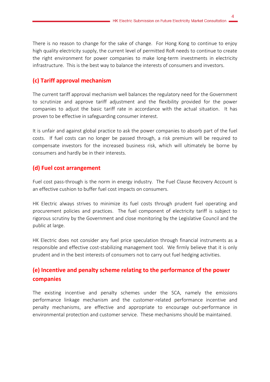There is no reason to change for the sake of change. For Hong Kong to continue to enjoy high quality electricity supply, the current level of permitted RoR needs to continue to create the right environment for power companies to make long-term investments in electricity infrastructure. This is the best way to balance the interests of consumers and investors.

## **(c) Tariff approval mechanism**

The current tariff approval mechanism well balances the regulatory need for the Government to scrutinize and approve tariff adjustment and the flexibility provided for the power companies to adjust the basic tariff rate in accordance with the actual situation. It has proven to be effective in safeguarding consumer interest.

It is unfair and against global practice to ask the power companies to absorb part of the fuel costs. If fuel costs can no longer be passed through, a risk premium will be required to compensate investors for the increased business risk, which will ultimately be borne by consumers and hardly be in their interests.

## **(d) Fuel cost arrangement**

Fuel cost pass-through is the norm in energy industry. The Fuel Clause Recovery Account is an effective cushion to buffer fuel cost impacts on consumers.

HK Electric always strives to minimize its fuel costs through prudent fuel operating and procurement policies and practices. The fuel component of electricity tariff is subject to rigorous scrutiny by the Government and close monitoring by the Legislative Council and the public at large.

HK Electric does not consider any fuel price speculation through financial instruments as a responsible and effective cost-stabilizing management tool. We firmly believe that it is only prudent and in the best interests of consumers not to carry out fuel hedging activities.

# **(e) Incentive and penalty scheme relating to the performance of the power companies**

The existing incentive and penalty schemes under the SCA, namely the emissions performance linkage mechanism and the customer-related performance incentive and penalty mechanisms, are effective and appropriate to encourage out-performance in environmental protection and customer service. These mechanisms should be maintained.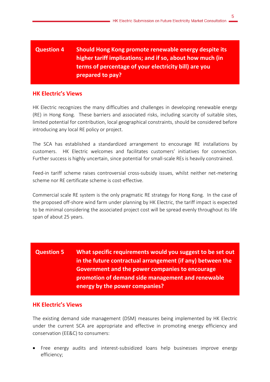# **Question 4 Should Hong Kong promote renewable energy despite its higher tariff implications; and if so, about how much (in terms of percentage of your electricity bill) are you prepared to pay?**

### **HK Electric's Views**

HK Electric recognizes the many difficulties and challenges in developing renewable energy (RE) in Hong Kong. These barriers and associated risks, including scarcity of suitable sites, limited potential for contribution, local geographical constraints, should be considered before introducing any local RE policy or project.

The SCA has established a standardized arrangement to encourage RE installations by customers. HK Electric welcomes and facilitates customers' initiatives for connection. Further success is highly uncertain, since potential for small-scale REs is heavily constrained.

Feed-in tariff scheme raises controversial cross-subsidy issues, whilst neither net-metering scheme nor RE certificate scheme is cost-effective.

Commercial scale RE system is the only pragmatic RE strategy for Hong Kong. In the case of the proposed off-shore wind farm under planning by HK Electric, the tariff impact is expected to be minimal considering the associated project cost will be spread evenly throughout its life span of about 25 years.

**Question 5 What specific requirements would you suggest to be set out in the future contractual arrangement (if any) between the Government and the power companies to encourage promotion of demand side management and renewable energy by the power companies?**

### **HK Electric's Views**

The existing demand side management (DSM) measures being implemented by HK Electric under the current SCA are appropriate and effective in promoting energy efficiency and conservation (EE&C) to consumers:

 Free energy audits and interest-subsidized loans help businesses improve energy efficiency;